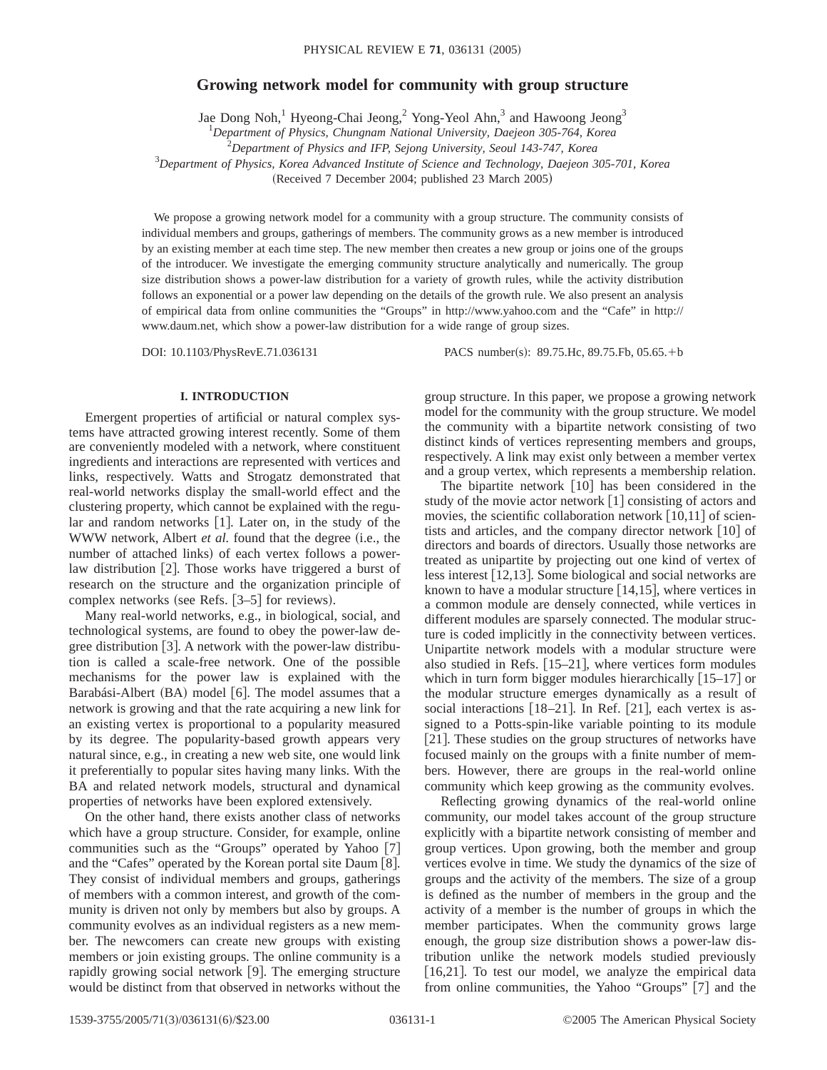# **Growing network model for community with group structure**

Jae Dong Noh,<sup>1</sup> Hyeong-Chai Jeong,<sup>2</sup> Yong-Yeol Ahn,<sup>3</sup> and Hawoong Jeong<sup>3</sup>

1 *Department of Physics, Chungnam National University, Daejeon 305-764, Korea* 2 *Department of Physics and IFP, Sejong University, Seoul 143-747, Korea* 3 *Department of Physics, Korea Advanced Institute of Science and Technology, Daejeon 305-701, Korea*

 $(Received 7 December 2004; published 23 March 2005)$ 

We propose a growing network model for a community with a group structure. The community consists of individual members and groups, gatherings of members. The community grows as a new member is introduced by an existing member at each time step. The new member then creates a new group or joins one of the groups of the introducer. We investigate the emerging community structure analytically and numerically. The group size distribution shows a power-law distribution for a variety of growth rules, while the activity distribution follows an exponential or a power law depending on the details of the growth rule. We also present an analysis of empirical data from online communities the "Groups" in http://www.yahoo.com and the "Cafe" in http:// www.daum.net, which show a power-law distribution for a wide range of group sizes.

DOI: 10.1103/PhysRevE.71.036131 PACS number(s): 89.75.Hc, 89.75.Fb, 05.65.+b

#### **I. INTRODUCTION**

Emergent properties of artificial or natural complex systems have attracted growing interest recently. Some of them are conveniently modeled with a network, where constituent ingredients and interactions are represented with vertices and links, respectively. Watts and Strogatz demonstrated that real-world networks display the small-world effect and the clustering property, which cannot be explained with the regular and random networks  $[1]$ . Later on, in the study of the WWW network, Albert *et al.* found that the degree (i.e., the number of attached links) of each vertex follows a powerlaw distribution  $[2]$ . Those works have triggered a burst of research on the structure and the organization principle of complex networks (see Refs.  $[3-5]$  for reviews).

Many real-world networks, e.g., in biological, social, and technological systems, are found to obey the power-law degree distribution  $[3]$ . A network with the power-law distribution is called a scale-free network. One of the possible mechanisms for the power law is explained with the Barabási-Albert (BA) model [6]. The model assumes that a network is growing and that the rate acquiring a new link for an existing vertex is proportional to a popularity measured by its degree. The popularity-based growth appears very natural since, e.g., in creating a new web site, one would link it preferentially to popular sites having many links. With the BA and related network models, structural and dynamical properties of networks have been explored extensively.

On the other hand, there exists another class of networks which have a group structure. Consider, for example, online communities such as the "Groups" operated by Yahoo [7] and the "Cafes" operated by the Korean portal site Daum  $[8]$ . They consist of individual members and groups, gatherings of members with a common interest, and growth of the community is driven not only by members but also by groups. A community evolves as an individual registers as a new member. The newcomers can create new groups with existing members or join existing groups. The online community is a rapidly growing social network  $[9]$ . The emerging structure would be distinct from that observed in networks without the group structure. In this paper, we propose a growing network model for the community with the group structure. We model the community with a bipartite network consisting of two distinct kinds of vertices representing members and groups, respectively. A link may exist only between a member vertex and a group vertex, which represents a membership relation.

The bipartite network  $[10]$  has been considered in the study of the movie actor network  $\lceil 1 \rceil$  consisting of actors and movies, the scientific collaboration network  $[10,11]$  of scientists and articles, and the company director network  $\lceil 10 \rceil$  of directors and boards of directors. Usually those networks are treated as unipartite by projecting out one kind of vertex of less interest  $[12,13]$ . Some biological and social networks are known to have a modular structure  $[14,15]$ , where vertices in a common module are densely connected, while vertices in different modules are sparsely connected. The modular structure is coded implicitly in the connectivity between vertices. Unipartite network models with a modular structure were also studied in Refs.  $[15–21]$ , where vertices form modules which in turn form bigger modules hierarchically  $[15-17]$  or the modular structure emerges dynamically as a result of social interactions  $|18-21|$ . In Ref.  $|21|$ , each vertex is assigned to a Potts-spin-like variable pointing to its module [21]. These studies on the group structures of networks have focused mainly on the groups with a finite number of members. However, there are groups in the real-world online community which keep growing as the community evolves.

Reflecting growing dynamics of the real-world online community, our model takes account of the group structure explicitly with a bipartite network consisting of member and group vertices. Upon growing, both the member and group vertices evolve in time. We study the dynamics of the size of groups and the activity of the members. The size of a group is defined as the number of members in the group and the activity of a member is the number of groups in which the member participates. When the community grows large enough, the group size distribution shows a power-law distribution unlike the network models studied previously  $[16,21]$ . To test our model, we analyze the empirical data from online communities, the Yahoo "Groups" [7] and the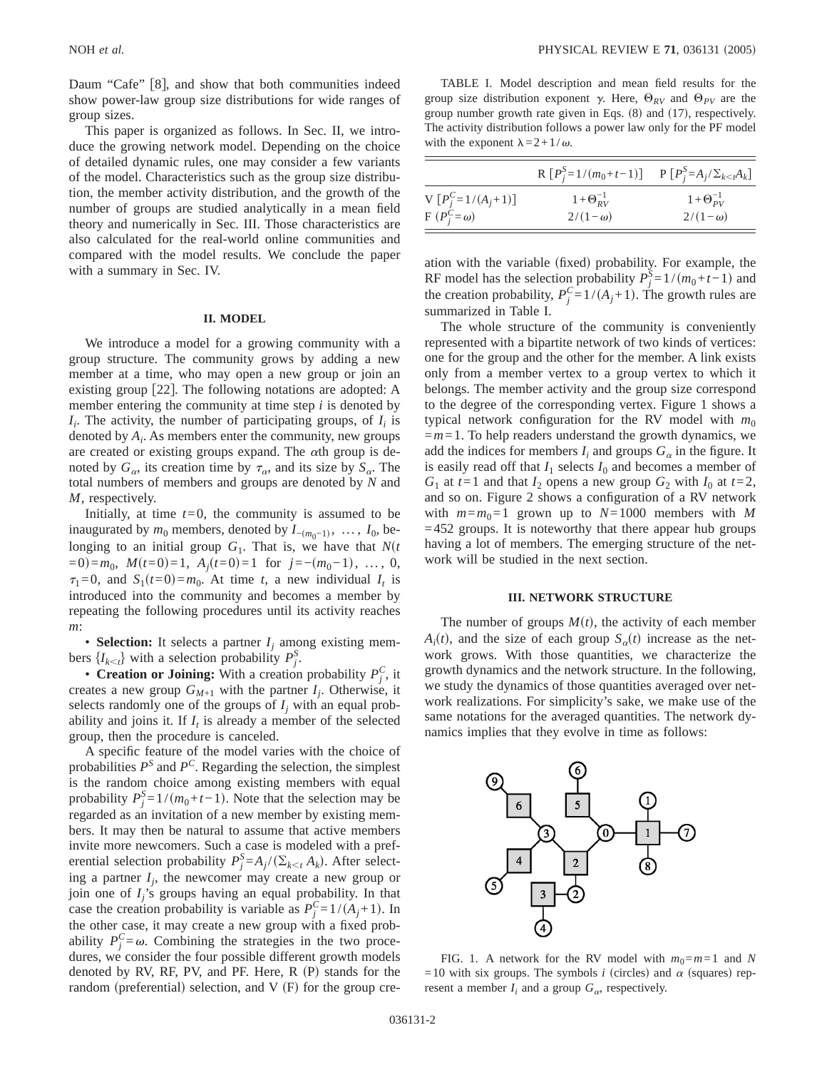Daum "Cafe" [8], and show that both communities indeed show power-law group size distributions for wide ranges of group sizes.

This paper is organized as follows. In Sec. II, we introduce the growing network model. Depending on the choice of detailed dynamic rules, one may consider a few variants of the model. Characteristics such as the group size distribution, the member activity distribution, and the growth of the number of groups are studied analytically in a mean field theory and numerically in Sec. III. Those characteristics are also calculated for the real-world online communities and compared with the model results. We conclude the paper with a summary in Sec. IV.

## **II. MODEL**

We introduce a model for a growing community with a group structure. The community grows by adding a new member at a time, who may open a new group or join an existing group [22]. The following notations are adopted: A member entering the community at time step *i* is denoted by  $I_i$ . The activity, the number of participating groups, of  $I_i$  is denoted by *Ai* . As members enter the community, new groups are created or existing groups expand. The  $\alpha$ th group is denoted by  $G_{\alpha}$ , its creation time by  $\tau_{\alpha}$ , and its size by  $S_{\alpha}$ . The total numbers of members and groups are denoted by *N* and *M*, respectively.

Initially, at time  $t=0$ , the community is assumed to be inaugurated by  $m_0$  members, denoted by  $I_{-(m_0-1)}, \ldots, I_0$ , belonging to an initial group  $G_1$ . That is, we have that  $N(t)$  $(0, 0, 0) = m_0$ ,  $M(t=0) = 1$ ,  $A_j(t=0) = 1$  for  $j = -(m_0-1)$ , ..., 0,  $\tau_1=0$ , and  $S_1(t=0)=m_0$ . At time *t*, a new individual  $I_t$  is introduced into the community and becomes a member by repeating the following procedures until its activity reaches *m*:

• **Selection:** It selects a partner  $I_i$  among existing members  $\{I_{k \le t}\}\$  with a selection probability  $P_j^S$ .

• **Creation or Joining:** With a creation probability  $P_j^C$ , it creates a new group  $G_{M+1}$  with the partner  $I_j$ . Otherwise, it selects randomly one of the groups of  $I_j$  with an equal probability and joins it. If  $I_t$  is already a member of the selected group, then the procedure is canceled.

A specific feature of the model varies with the choice of probabilities  $P^S$  and  $P^C$ . Regarding the selection, the simplest is the random choice among existing members with equal probability  $P_j^S = 1/(m_0 + t - 1)$ . Note that the selection may be regarded as an invitation of a new member by existing members. It may then be natural to assume that active members invite more newcomers. Such a case is modeled with a preferential selection probability  $P_j^S = A_j / (\sum_{k \le t} A_k)$ . After selecting a partner  $I_j$ , the newcomer may create a new group or join one of *Ij*'s groups having an equal probability. In that case the creation probability is variable as  $P_j^C = 1/(A_j + 1)$ . In the other case, it may create a new group with a fixed probability  $P_j^C = \omega$ . Combining the strategies in the two procedures, we consider the four possible different growth models denoted by RV, RF, PV, and PF. Here,  $R(P)$  stands for the random (preferential) selection, and  $V$  (F) for the group cre-

TABLE I. Model description and mean field results for the group size distribution exponent  $\gamma$ . Here,  $\Theta_{RV}$  and  $\Theta_{PV}$  are the group number growth rate given in Eqs.  $(8)$  and  $(17)$ , respectively. The activity distribution follows a power law only for the PF model with the exponent  $\lambda = 2 + 1/\omega$ .

|                       | R $[P_j^S=1/(m_0+t-1)]$ P $[P_j^S=A_j/\Sigma_{k\lt M}A_k]$ |                      |
|-----------------------|------------------------------------------------------------|----------------------|
| V $[P_i^C=1/(A_j+1)]$ | $1 + \Theta_{RV}^{-1}$                                     | $1+\Theta_{PV}^{-1}$ |
| $F(P_i^C=\omega)$     | $2/(1-\omega)$                                             | $2/(1-\omega)$       |

ation with the variable (fixed) probability. For example, the RF model has the selection probability  $P_j^{\bar{S}} = 1/(m_0 + t - 1)$  and the creation probability,  $P_j^C = 1/(A_j + 1)$ . The growth rules are summarized in Table I.

The whole structure of the community is conveniently represented with a bipartite network of two kinds of vertices: one for the group and the other for the member. A link exists only from a member vertex to a group vertex to which it belongs. The member activity and the group size correspond to the degree of the corresponding vertex. Figure 1 shows a typical network configuration for the RV model with  $m_0$ =*m*=1. To help readers understand the growth dynamics, we add the indices for members  $I_i$  and groups  $G_\alpha$  in the figure. It is easily read off that  $I_1$  selects  $I_0$  and becomes a member of  $G_1$  at  $t=1$  and that  $I_2$  opens a new group  $G_2$  with  $I_0$  at  $t=2$ , and so on. Figure 2 shows a configuration of a RV network with  $m=m_0=1$  grown up to  $N=1000$  members with M  $=452$  groups. It is noteworthy that there appear hub groups having a lot of members. The emerging structure of the network will be studied in the next section.

#### **III. NETWORK STRUCTURE**

The number of groups  $M(t)$ , the activity of each member  $A_i(t)$ , and the size of each group  $S_{\alpha}(t)$  increase as the network grows. With those quantities, we characterize the growth dynamics and the network structure. In the following, we study the dynamics of those quantities averaged over network realizations. For simplicity's sake, we make use of the same notations for the averaged quantities. The network dynamics implies that they evolve in time as follows:



FIG. 1. A network for the RV model with  $m_0 = m = 1$  and N =10 with six groups. The symbols *i* (circles) and  $\alpha$  (squares) represent a member  $I_i$  and a group  $G_\alpha$ , respectively.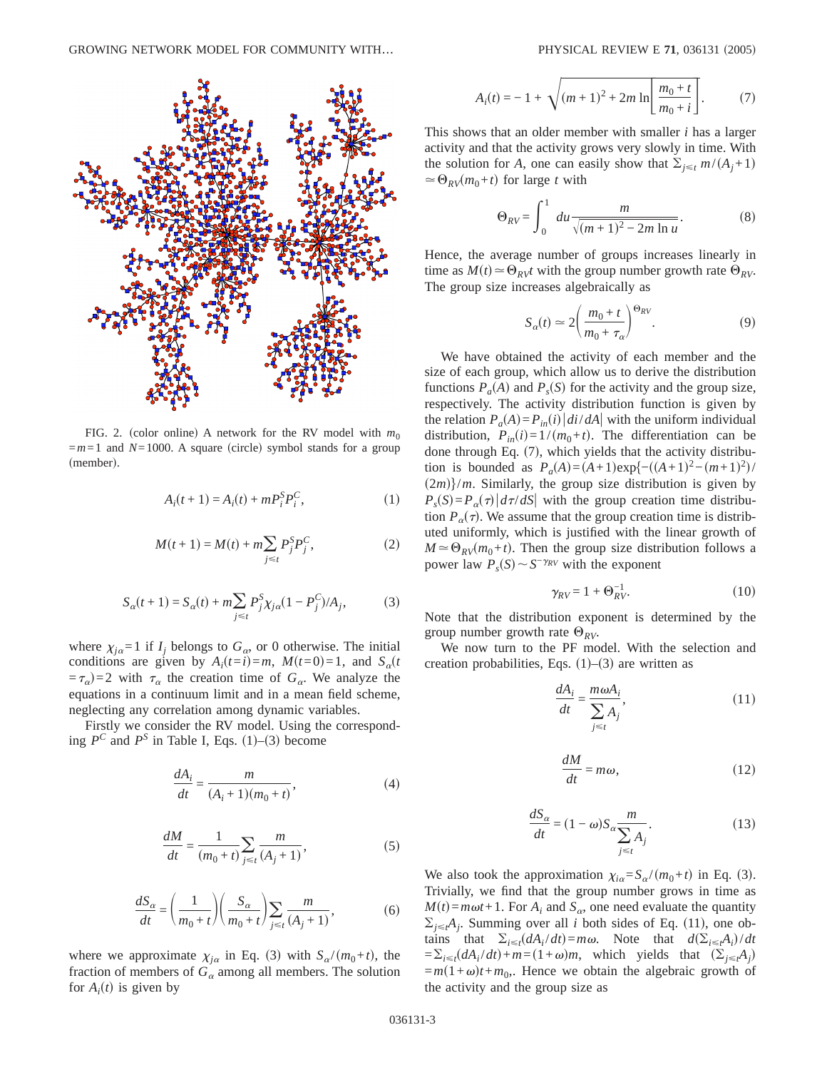

FIG. 2. (color online) A network for the RV model with  $m_0$  $=m=1$  and  $N=1000$ . A square (circle) symbol stands for a group (member).

$$
A_i(t+1) = A_i(t) + mP_i^S P_i^C,
$$
\n(1)

$$
M(t+1) = M(t) + m \sum_{j \le t} P_j^S P_j^C,
$$
 (2)

$$
S_{\alpha}(t+1) = S_{\alpha}(t) + m \sum_{j \le t} P_j^S \chi_{j\alpha}(1 - P_j^C) / A_j,
$$
 (3)

where  $\chi_{i\alpha}$ =1 if  $I_i$  belongs to  $G_\alpha$ , or 0 otherwise. The initial conditions are given by  $A_i(t=i) = m$ ,  $M(t=0) = 1$ , and  $S_\alpha(t)$  $(\tau_{\alpha})=2$  with  $\tau_{\alpha}$  the creation time of  $G_{\alpha}$ . We analyze the equations in a continuum limit and in a mean field scheme, neglecting any correlation among dynamic variables.

Firstly we consider the RV model. Using the corresponding  $P^C$  and  $P^S$  in Table I, Eqs. (1)–(3) become

$$
\frac{dA_i}{dt} = \frac{m}{(A_i + 1)(m_0 + t)},
$$
\n(4)

$$
\frac{dM}{dt} = \frac{1}{(m_0 + t)} \sum_{j \le t} \frac{m}{(A_j + 1)},
$$
\n(5)

$$
\frac{dS_{\alpha}}{dt} = \left(\frac{1}{m_0 + t}\right) \left(\frac{S_{\alpha}}{m_0 + t}\right) \sum_{j \le t} \frac{m}{(A_j + 1)},\tag{6}
$$

where we approximate  $\chi_{j\alpha}$  in Eq. (3) with  $S_{\alpha}/(m_0+t)$ , the fraction of members of  $G_\alpha$  among all members. The solution for  $A_i(t)$  is given by

$$
A_i(t) = -1 + \sqrt{(m+1)^2 + 2m \ln \left[\frac{m_0 + t}{m_0 + i}\right]}.
$$
 (7)

This shows that an older member with smaller *i* has a larger activity and that the activity grows very slowly in time. With the solution for *A*, one can easily show that  $\sum_{j \le t} m/(A_j + 1)$  $\approx \Theta_{RV}(m_0+t)$  for large *t* with

$$
\Theta_{RV} = \int_0^1 du \frac{m}{\sqrt{(m+1)^2 - 2m \ln u}}.
$$
 (8)

Hence, the average number of groups increases linearly in time as  $M(t) \approx \Theta_{RV}t$  with the group number growth rate  $\Theta_{RV}$ . The group size increases algebraically as

$$
S_{\alpha}(t) \simeq 2\left(\frac{m_0 + t}{m_0 + \tau_{\alpha}}\right)^{\Theta_{RV}}.\tag{9}
$$

We have obtained the activity of each member and the size of each group, which allow us to derive the distribution functions  $P_a(A)$  and  $P_s(S)$  for the activity and the group size, respectively. The activity distribution function is given by the relation  $P_a(A) = P_{in}(i) |di/dA|$  with the uniform individual distribution,  $P_{in}(i)=1/(m_0+t)$ . The differentiation can be done through Eq.  $(7)$ , which yields that the activity distribution is bounded as  $P_a(A) = (A+1)\exp\{-(A+1)^2 - (m+1)^2\}$  $(2m)$ /*m*. Similarly, the group size distribution is given by  $P_s(S) = P_a(\tau) \left| d\tau/dS \right|$  with the group creation time distribution  $P_{\alpha}(\tau)$ . We assume that the group creation time is distributed uniformly, which is justified with the linear growth of  $M \approx \Theta_{RV}(m_0+t)$ . Then the group size distribution follows a power law  $P_s(S) \sim S^{-\gamma_{RV}}$  with the exponent

$$
\gamma_{RV} = 1 + \Theta_{RV}^{-1}.\tag{10}
$$

Note that the distribution exponent is determined by the group number growth rate  $\Theta_{RV}$ .

We now turn to the PF model. With the selection and creation probabilities, Eqs.  $(1)$ – $(3)$  are written as

$$
\frac{dA_i}{dt} = \frac{m\omega A_i}{\sum_{j \le t} A_j},\tag{11}
$$

$$
\frac{dM}{dt} = m\omega,\tag{12}
$$

$$
\frac{dS_{\alpha}}{dt} = (1 - \omega)S_{\alpha} \frac{m}{\sum_{j \le t} A_j}.
$$
\n(13)

We also took the approximation  $\chi_{i\alpha} = S_{\alpha}/(m_0 + t)$  in Eq. (3). Trivially, we find that the group number grows in time as  $M(t) = m\omega t + 1$ . For  $A_i$  and  $S_\alpha$ , one need evaluate the quantity  $\Sigma_{j \leq t} A_j$ . Summing over all *i* both sides of Eq. (11), one obtains that  $\Sigma_{i \le t}(dA_i/dt) = m\omega$ . Note that  $d(\Sigma_{i \le t}A_i)/dt$  $=\sum_{i\leq t} (dA_i/dt) + m = (1+\omega)m$ , which yields that  $(\sum_{j\leq t} A_j)$  $= m(1+\omega)t + m_0$ . Hence we obtain the algebraic growth of the activity and the group size as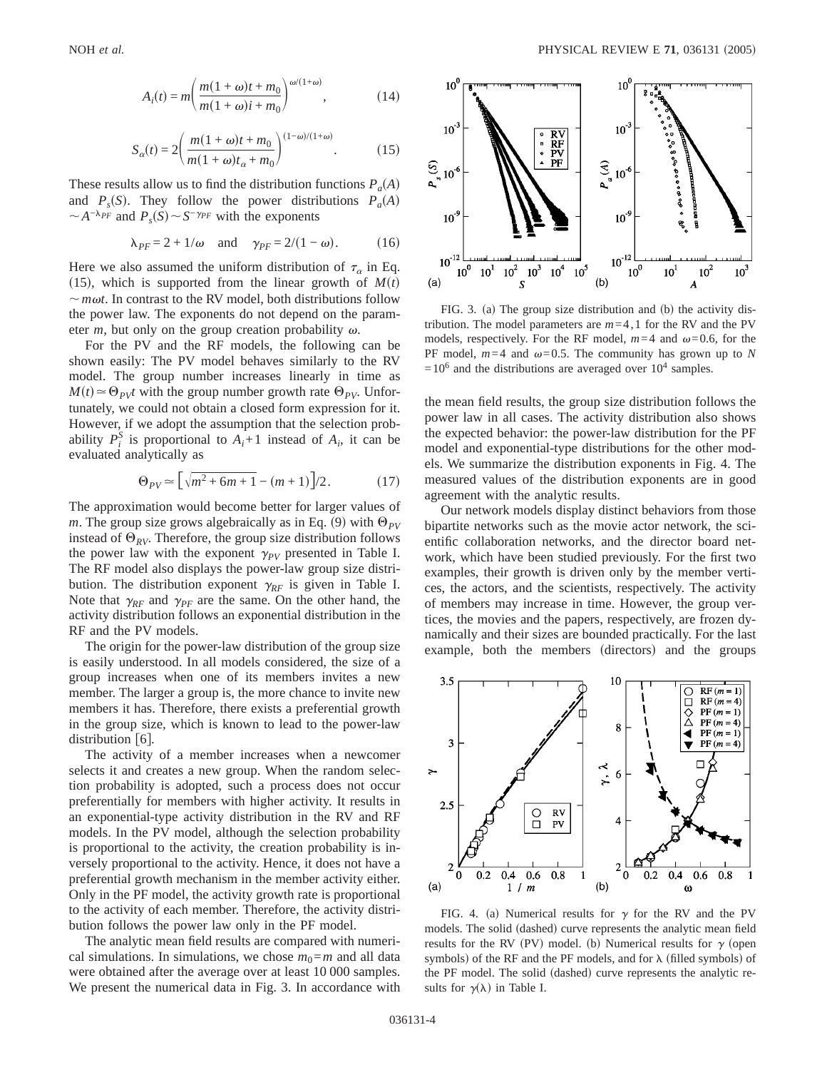$$
A_i(t) = m \bigg( \frac{m(1+\omega)t + m_0}{m(1+\omega)i + m_0} \bigg)^{\omega/(1+\omega)}, \qquad (14)
$$

$$
S_{\alpha}(t) = 2\left(\frac{m(1+\omega)t + m_0}{m(1+\omega)t_{\alpha} + m_0}\right)^{(1-\omega)/(1+\omega)}.\tag{15}
$$

These results allow us to find the distribution functions  $P_a(A)$ and  $P_s(S)$ . They follow the power distributions  $P_a(A)$  $\sim A^{-\lambda_{PF}}$  and  $P_s(S) \sim S^{-\gamma_{PF}}$  with the exponents

$$
\lambda_{PF} = 2 + 1/\omega \quad \text{and} \quad \gamma_{PF} = 2/(1 - \omega). \tag{16}
$$

Here we also assumed the uniform distribution of  $\tau_{\alpha}$  in Eq. (15), which is supported from the linear growth of  $M(t)$  $\sim$ *m* $\omega t$ . In contrast to the RV model, both distributions follow the power law. The exponents do not depend on the parameter *m*, but only on the group creation probability  $\omega$ .

For the PV and the RF models, the following can be shown easily: The PV model behaves similarly to the RV model. The group number increases linearly in time as  $M(t) \approx \Theta_{PV}t$  with the group number growth rate  $\Theta_{PV}$ . Unfortunately, we could not obtain a closed form expression for it. However, if we adopt the assumption that the selection probability  $P_i^S$  is proportional to  $A_i+1$  instead of  $A_i$ , it can be evaluated analytically as

$$
\Theta_{PV} \simeq \left[ \sqrt{m^2 + 6m + 1} - (m+1) \right] / 2. \tag{17}
$$

The approximation would become better for larger values of *m*. The group size grows algebraically as in Eq. (9) with  $\Theta_{PV}$ instead of  $\Theta_{RV}$ . Therefore, the group size distribution follows the power law with the exponent  $\gamma_{PV}$  presented in Table I. The RF model also displays the power-law group size distribution. The distribution exponent  $\gamma_{RF}$  is given in Table I. Note that  $\gamma_{RF}$  and  $\gamma_{PF}$  are the same. On the other hand, the activity distribution follows an exponential distribution in the RF and the PV models.

The origin for the power-law distribution of the group size is easily understood. In all models considered, the size of a group increases when one of its members invites a new member. The larger a group is, the more chance to invite new members it has. Therefore, there exists a preferential growth in the group size, which is known to lead to the power-law distribution  $[6]$ .

The activity of a member increases when a newcomer selects it and creates a new group. When the random selection probability is adopted, such a process does not occur preferentially for members with higher activity. It results in an exponential-type activity distribution in the RV and RF models. In the PV model, although the selection probability is proportional to the activity, the creation probability is inversely proportional to the activity. Hence, it does not have a preferential growth mechanism in the member activity either. Only in the PF model, the activity growth rate is proportional to the activity of each member. Therefore, the activity distribution follows the power law only in the PF model.

The analytic mean field results are compared with numerical simulations. In simulations, we chose  $m_0 = m$  and all data were obtained after the average over at least 10 000 samples. We present the numerical data in Fig. 3. In accordance with



FIG. 3. (a) The group size distribution and (b) the activity distribution. The model parameters are  $m=4$ , 1 for the RV and the PV models, respectively. For the RF model,  $m=4$  and  $\omega=0.6$ , for the PF model,  $m=4$  and  $\omega=0.5$ . The community has grown up to *N*  $=10^6$  and the distributions are averaged over  $10^4$  samples.

the mean field results, the group size distribution follows the power law in all cases. The activity distribution also shows the expected behavior: the power-law distribution for the PF model and exponential-type distributions for the other models. We summarize the distribution exponents in Fig. 4. The measured values of the distribution exponents are in good agreement with the analytic results.

Our network models display distinct behaviors from those bipartite networks such as the movie actor network, the scientific collaboration networks, and the director board network, which have been studied previously. For the first two examples, their growth is driven only by the member vertices, the actors, and the scientists, respectively. The activity of members may increase in time. However, the group vertices, the movies and the papers, respectively, are frozen dynamically and their sizes are bounded practically. For the last example, both the members (directors) and the groups



FIG. 4. (a) Numerical results for  $\gamma$  for the RV and the PV models. The solid (dashed) curve represents the analytic mean field results for the RV (PV) model. (b) Numerical results for  $\gamma$  (open symbols) of the RF and the PF models, and for  $\lambda$  (filled symbols) of the PF model. The solid (dashed) curve represents the analytic results for  $\gamma(\lambda)$  in Table I.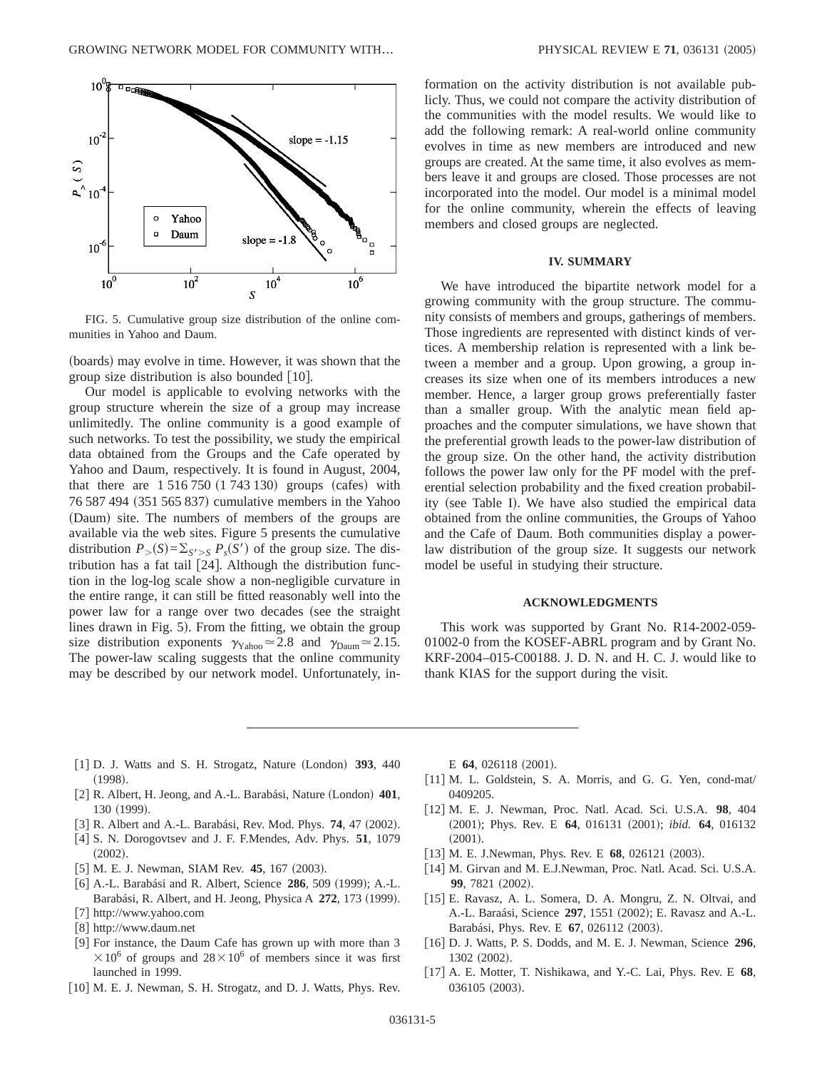

FIG. 5. Cumulative group size distribution of the online communities in Yahoo and Daum.

(boards) may evolve in time. However, it was shown that the group size distribution is also bounded  $[10]$ .

Our model is applicable to evolving networks with the group structure wherein the size of a group may increase unlimitedly. The online community is a good example of such networks. To test the possibility, we study the empirical data obtained from the Groups and the Cafe operated by Yahoo and Daum, respectively. It is found in August, 2004, that there are  $1\,516\,750\,(1\,743\,130)$  groups (cafes) with  $76587494$   $(351565837)$  cumulative members in the Yahoo (Daum) site. The numbers of members of the groups are available via the web sites. Figure 5 presents the cumulative distribution  $P_{>}(S) = \sum_{S' > S} P_{S}(S')$  of the group size. The distribution has a fat tail  $[24]$ . Although the distribution function in the log-log scale show a non-negligible curvature in the entire range, it can still be fitted reasonably well into the power law for a range over two decades (see the straight lines drawn in Fig. 5). From the fitting, we obtain the group size distribution exponents  $\gamma_{\text{Yahoo}} \approx 2.8$  and  $\gamma_{\text{Daum}} \approx 2.15$ . The power-law scaling suggests that the online community may be described by our network model. Unfortunately, information on the activity distribution is not available publicly. Thus, we could not compare the activity distribution of the communities with the model results. We would like to add the following remark: A real-world online community evolves in time as new members are introduced and new groups are created. At the same time, it also evolves as members leave it and groups are closed. Those processes are not incorporated into the model. Our model is a minimal model for the online community, wherein the effects of leaving members and closed groups are neglected.

## **IV. SUMMARY**

We have introduced the bipartite network model for a growing community with the group structure. The community consists of members and groups, gatherings of members. Those ingredients are represented with distinct kinds of vertices. A membership relation is represented with a link between a member and a group. Upon growing, a group increases its size when one of its members introduces a new member. Hence, a larger group grows preferentially faster than a smaller group. With the analytic mean field approaches and the computer simulations, we have shown that the preferential growth leads to the power-law distribution of the group size. On the other hand, the activity distribution follows the power law only for the PF model with the preferential selection probability and the fixed creation probability (see Table I). We have also studied the empirical data obtained from the online communities, the Groups of Yahoo and the Cafe of Daum. Both communities display a powerlaw distribution of the group size. It suggests our network model be useful in studying their structure.

### **ACKNOWLEDGMENTS**

This work was supported by Grant No. R14-2002-059- 01002-0 from the KOSEF-ABRL program and by Grant No. KRF-2004–015-C00188. J. D. N. and H. C. J. would like to thank KIAS for the support during the visit.

- $[1]$  D. J. Watts and S. H. Strogatz, Nature (London) 393, 440  $(1998).$
- [2] R. Albert, H. Jeong, and A.-L. Barabási, Nature (London) 401, 130 (1999).
- [3] R. Albert and A.-L. Barabási, Rev. Mod. Phys.  $74$ ,  $47$  (2002).
- f4g S. N. Dorogovtsev and J. F. F.Mendes, Adv. Phys. **51**, 1079  $(2002).$
- [5] M. E. J. Newman, SIAM Rev. **45**, 167 (2003).
- [6] A.-L. Barabási and R. Albert, Science 286, 509 (1999); A.-L. Barabási, R. Albert, and H. Jeong, Physica A 272, 173 (1999).
- [7] http://www.yahoo.com
- [8] http://www.daum.net
- [9] For instance, the Daum Cafe has grown up with more than 3  $\times$  10<sup>6</sup> of groups and 28 $\times$  10<sup>6</sup> of members since it was first launched in 1999.
- [10] M. E. J. Newman, S. H. Strogatz, and D. J. Watts, Phys. Rev.

E 64, 026118 (2001).

- [11] M. L. Goldstein, S. A. Morris, and G. G. Yen, cond-mat/ 0409205.
- f12g M. E. J. Newman, Proc. Natl. Acad. Sci. U.S.A. **98**, 404 (2001); Phys. Rev. E 64, 016131 (2001); *ibid.* 64, 016132  $(2001).$
- [13] M. E. J.Newman, Phys. Rev. E 68, 026121 (2003).
- [14] M. Girvan and M. E.J.Newman, Proc. Natl. Acad. Sci. U.S.A. **99**, 7821 (2002).
- [15] E. Ravasz, A. L. Somera, D. A. Mongru, Z. N. Oltvai, and A.-L. Baraási, Science 297, 1551 (2002); E. Ravasz and A.-L. Barabási, Phys. Rev. E 67, 026112 (2003).
- f16g D. J. Watts, P. S. Dodds, and M. E. J. Newman, Science **296**, 1302 (2002).
- f17g A. E. Motter, T. Nishikawa, and Y.-C. Lai, Phys. Rev. E **68**, 036105 (2003).